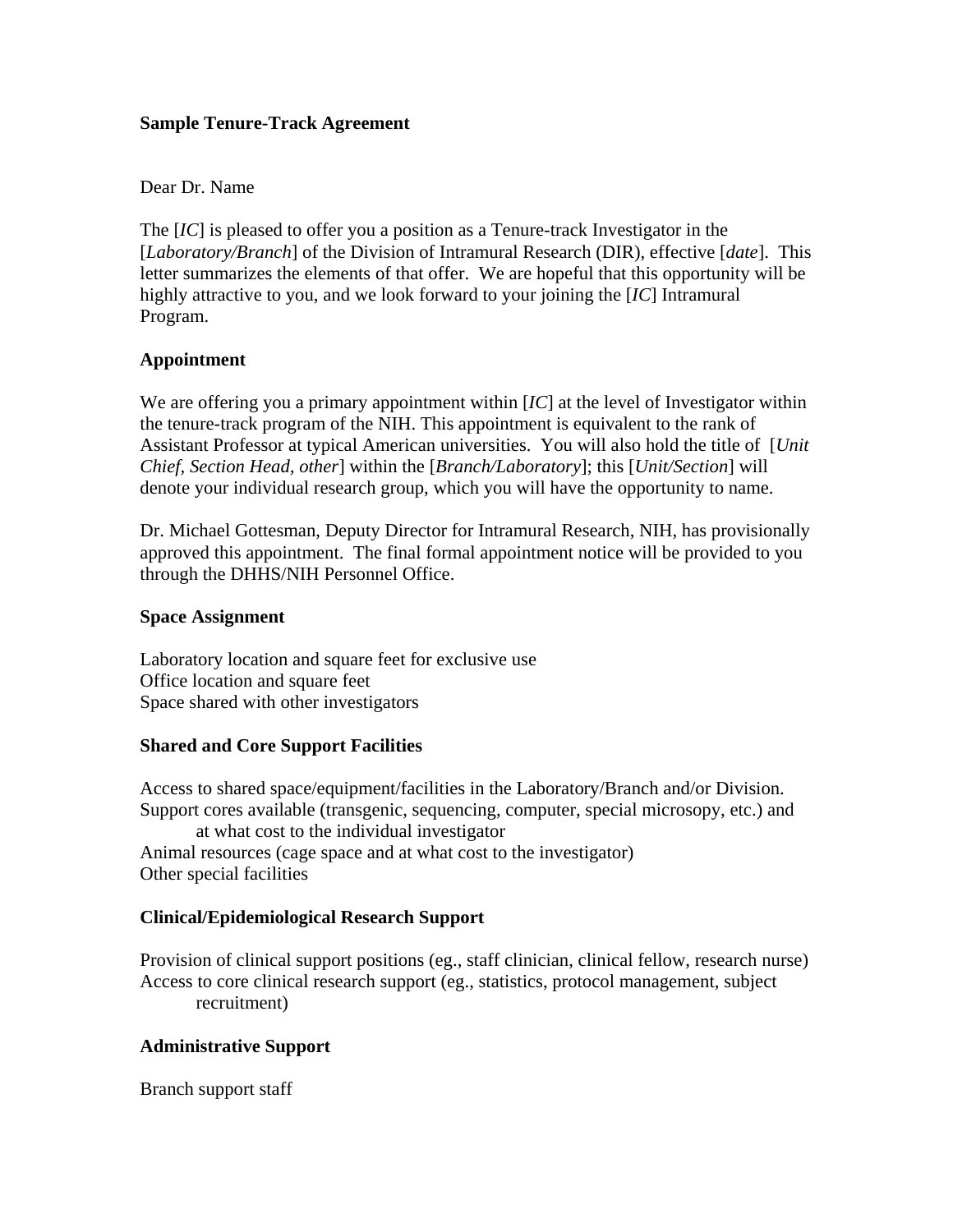#### **Sample Tenure-Track Agreement**

### Dear Dr. Name

The [*IC*] is pleased to offer you a position as a Tenure-track Investigator in the [*Laboratory/Branch*] of the Division of Intramural Research (DIR), effective [*date*]. This letter summarizes the elements of that offer. We are hopeful that this opportunity will be highly attractive to you, and we look forward to your joining the [*IC*] Intramural Program.

## **Appointment**

We are offering you a primary appointment within [*IC*] at the level of Investigator within the tenure-track program of the NIH. This appointment is equivalent to the rank of Assistant Professor at typical American universities. You will also hold the title of [*Unit Chief, Section Head, other*] within the [*Branch/Laboratory*]; this [*Unit/Section*] will denote your individual research group, which you will have the opportunity to name.

Dr. Michael Gottesman, Deputy Director for Intramural Research, NIH, has provisionally approved this appointment. The final formal appointment notice will be provided to you through the DHHS/NIH Personnel Office.

#### **Space Assignment**

Laboratory location and square feet for exclusive use Office location and square feet Space shared with other investigators

# **Shared and Core Support Facilities**

Access to shared space/equipment/facilities in the Laboratory/Branch and/or Division. Support cores available (transgenic, sequencing, computer, special microsopy, etc.) and at what cost to the individual investigator Animal resources (cage space and at what cost to the investigator) Other special facilities

# **Clinical/Epidemiological Research Support**

Provision of clinical support positions (eg., staff clinician, clinical fellow, research nurse) Access to core clinical research support (eg., statistics, protocol management, subject recruitment)

# **Administrative Support**

Branch support staff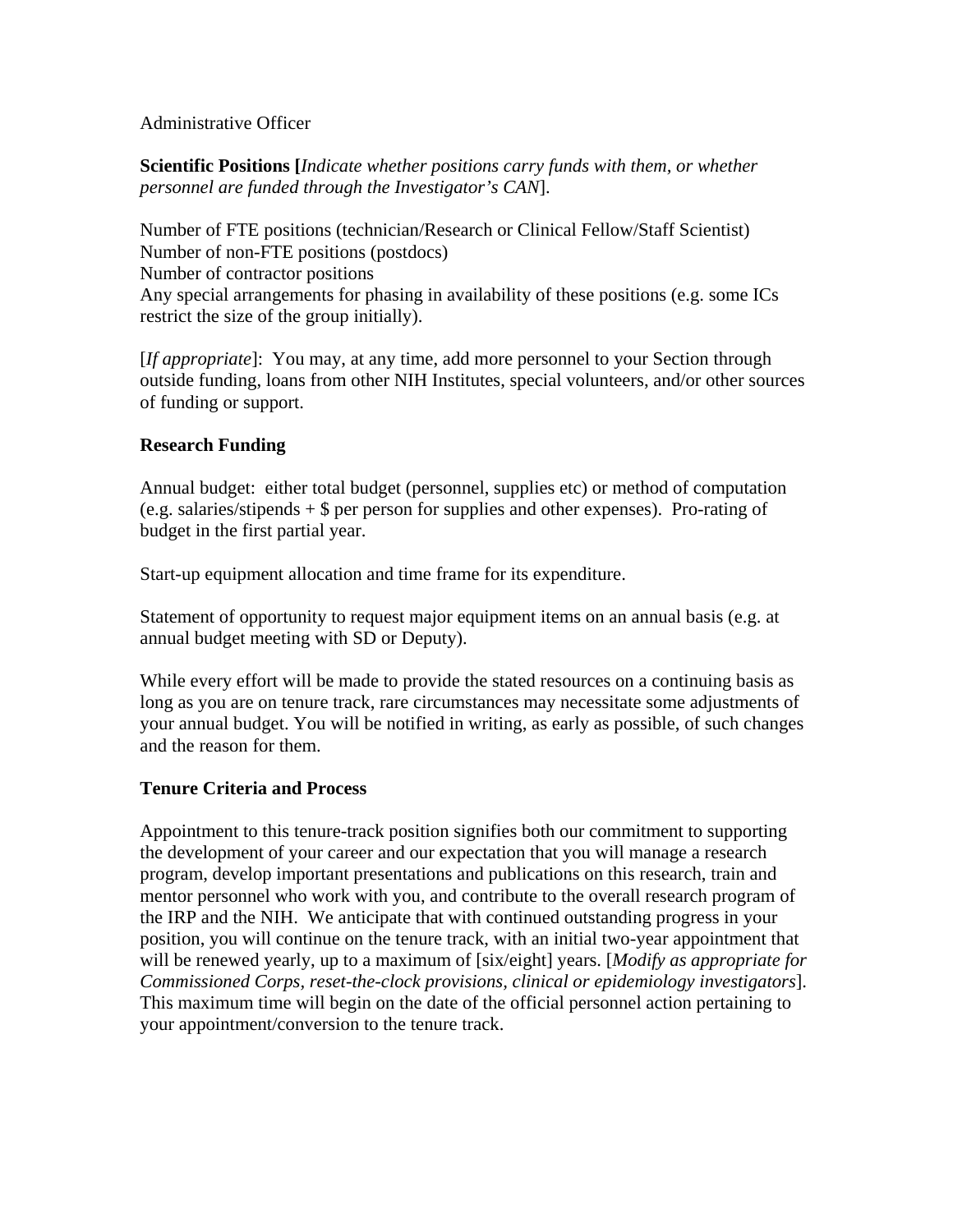## Administrative Officer

**Scientific Positions [***Indicate whether positions carry funds with them, or whether personnel are funded through the Investigator's CAN*].

Number of FTE positions (technician/Research or Clinical Fellow/Staff Scientist) Number of non-FTE positions (postdocs) Number of contractor positions Any special arrangements for phasing in availability of these positions (e.g. some ICs restrict the size of the group initially).

[*If appropriate*]: You may, at any time, add more personnel to your Section through outside funding, loans from other NIH Institutes, special volunteers, and/or other sources of funding or support.

## **Research Funding**

Annual budget: either total budget (personnel, supplies etc) or method of computation (e.g. salaries/stipends + \$ per person for supplies and other expenses). Pro-rating of budget in the first partial year.

Start-up equipment allocation and time frame for its expenditure.

Statement of opportunity to request major equipment items on an annual basis (e.g. at annual budget meeting with SD or Deputy).

While every effort will be made to provide the stated resources on a continuing basis as long as you are on tenure track, rare circumstances may necessitate some adjustments of your annual budget. You will be notified in writing, as early as possible, of such changes and the reason for them.

# **Tenure Criteria and Process**

Appointment to this tenure-track position signifies both our commitment to supporting the development of your career and our expectation that you will manage a research program, develop important presentations and publications on this research, train and mentor personnel who work with you, and contribute to the overall research program of the IRP and the NIH. We anticipate that with continued outstanding progress in your position, you will continue on the tenure track, with an initial two-year appointment that will be renewed yearly, up to a maximum of [six/eight] years. [*Modify as appropriate for Commissioned Corps, reset-the-clock provisions, clinical or epidemiology investigators*]. This maximum time will begin on the date of the official personnel action pertaining to your appointment/conversion to the tenure track.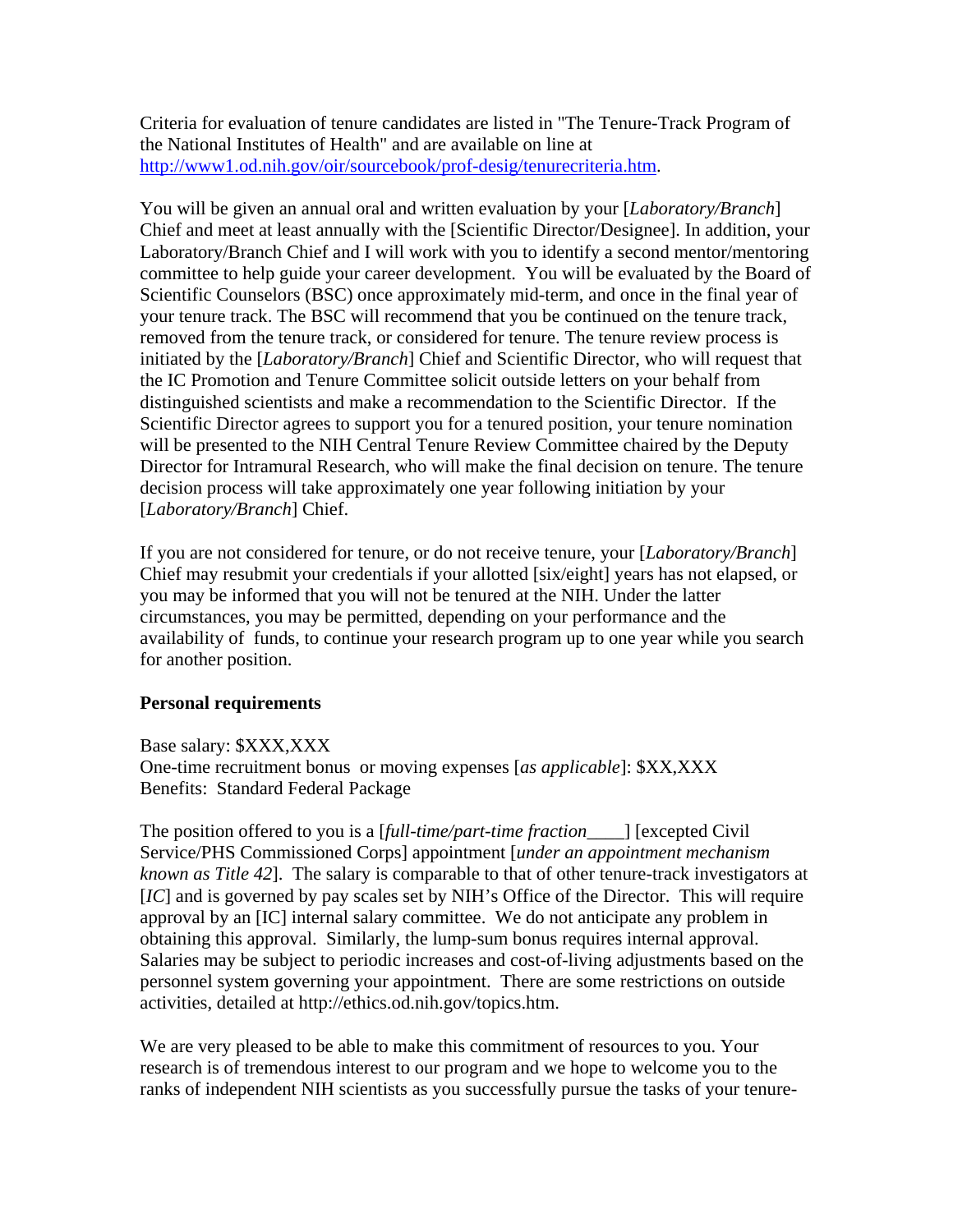Criteria for evaluation of tenure candidates are listed in "The Tenure-Track Program of the National Institutes of Health" and are available on line at [http://www1.od.nih.gov/oir/sourcebook/prof-desig/tenurecriteria.htm.](http://www1.od.nih.gov/oir/sourcebook/prof-desig/tenurecriteria.htm)

You will be given an annual oral and written evaluation by your [*Laboratory/Branch*] Chief and meet at least annually with the [Scientific Director/Designee]. In addition, your Laboratory/Branch Chief and I will work with you to identify a second mentor/mentoring committee to help guide your career development. You will be evaluated by the Board of Scientific Counselors (BSC) once approximately mid-term, and once in the final year of your tenure track. The BSC will recommend that you be continued on the tenure track, removed from the tenure track, or considered for tenure. The tenure review process is initiated by the [*Laboratory/Branch*] Chief and Scientific Director, who will request that the IC Promotion and Tenure Committee solicit outside letters on your behalf from distinguished scientists and make a recommendation to the Scientific Director. If the Scientific Director agrees to support you for a tenured position, your tenure nomination will be presented to the NIH Central Tenure Review Committee chaired by the Deputy Director for Intramural Research, who will make the final decision on tenure. The tenure decision process will take approximately one year following initiation by your [*Laboratory/Branch*] Chief.

If you are not considered for tenure, or do not receive tenure, your [*Laboratory/Branch*] Chief may resubmit your credentials if your allotted [six/eight] years has not elapsed, or you may be informed that you will not be tenured at the NIH. Under the latter circumstances, you may be permitted, depending on your performance and the availability of funds, to continue your research program up to one year while you search for another position.

#### **Personal requirements**

Base salary: \$XXX,XXX One-time recruitment bonus or moving expenses [*as applicable*]: \$XX,XXX Benefits: Standard Federal Package

The position offered to you is a [*full-time/part-time fraction\_\_\_\_*] [excepted Civil Service/PHS Commissioned Corps] appointment [*under an appointment mechanism known as Title 42*]. The salary is comparable to that of other tenure-track investigators at [*IC*] and is governed by pay scales set by NIH's Office of the Director. This will require approval by an [IC] internal salary committee. We do not anticipate any problem in obtaining this approval. Similarly, the lump-sum bonus requires internal approval. Salaries may be subject to periodic increases and cost-of-living adjustments based on the personnel system governing your appointment. There are some restrictions on outside activities, detailed at http://ethics.od.nih.gov/topics.htm.

We are very pleased to be able to make this commitment of resources to you. Your research is of tremendous interest to our program and we hope to welcome you to the ranks of independent NIH scientists as you successfully pursue the tasks of your tenure